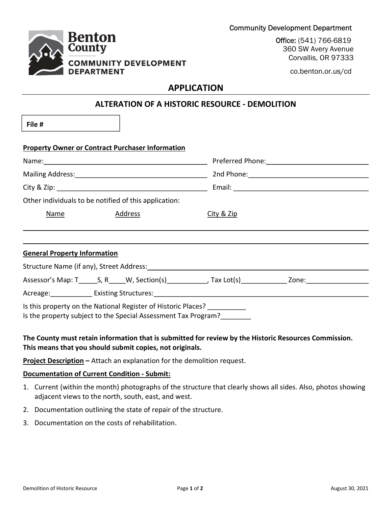

Office: (541) 766-6819 360 SW Avery Avenue Corvallis, OR 97333

co.benton.or.us/cd

# APPLICATION

## ALTERATION OF A HISTORIC RESOURCE - DEMOLITION

File #

| <b>Property Owner or Contract Purchaser Information</b>                                                                         |  |  |                                              |  |  |                                                       |  |         |                       |  |  |
|---------------------------------------------------------------------------------------------------------------------------------|--|--|----------------------------------------------|--|--|-------------------------------------------------------|--|---------|-----------------------|--|--|
| Mailing Address: 1999 Mailing Address: 1999 Mailing Address: 1999 Mailing Address: 1999 Mail 1999 Mail 1999 Ma                  |  |  |                                              |  |  |                                                       |  |         |                       |  |  |
|                                                                                                                                 |  |  |                                              |  |  | Other individuals to be notified of this application: |  |         |                       |  |  |
|                                                                                                                                 |  |  |                                              |  |  | Name                                                  |  | Address | <u>City &amp; Zip</u> |  |  |
|                                                                                                                                 |  |  |                                              |  |  |                                                       |  |         |                       |  |  |
|                                                                                                                                 |  |  |                                              |  |  |                                                       |  |         |                       |  |  |
| <b>General Property Information</b>                                                                                             |  |  |                                              |  |  |                                                       |  |         |                       |  |  |
|                                                                                                                                 |  |  |                                              |  |  |                                                       |  |         |                       |  |  |
|                                                                                                                                 |  |  |                                              |  |  |                                                       |  |         |                       |  |  |
|                                                                                                                                 |  |  | Acreage: Existing Structures: 1997 1997 1998 |  |  |                                                       |  |         |                       |  |  |
| Is this property on the National Register of Historic Places?<br>Is the property subject to the Special Assessment Tax Program? |  |  |                                              |  |  |                                                       |  |         |                       |  |  |

### The County must retain information that is submitted for review by the Historic Resources Commission. This means that you should submit copies, not originals.

Project Description - Attach an explanation for the demolition request.

#### Documentation of Current Condition - Submit:

- 1. Current (within the month) photographs of the structure that clearly shows all sides. Also, photos showing adjacent views to the north, south, east, and west.
- 2. Documentation outlining the state of repair of the structure.
- 3. Documentation on the costs of rehabilitation.